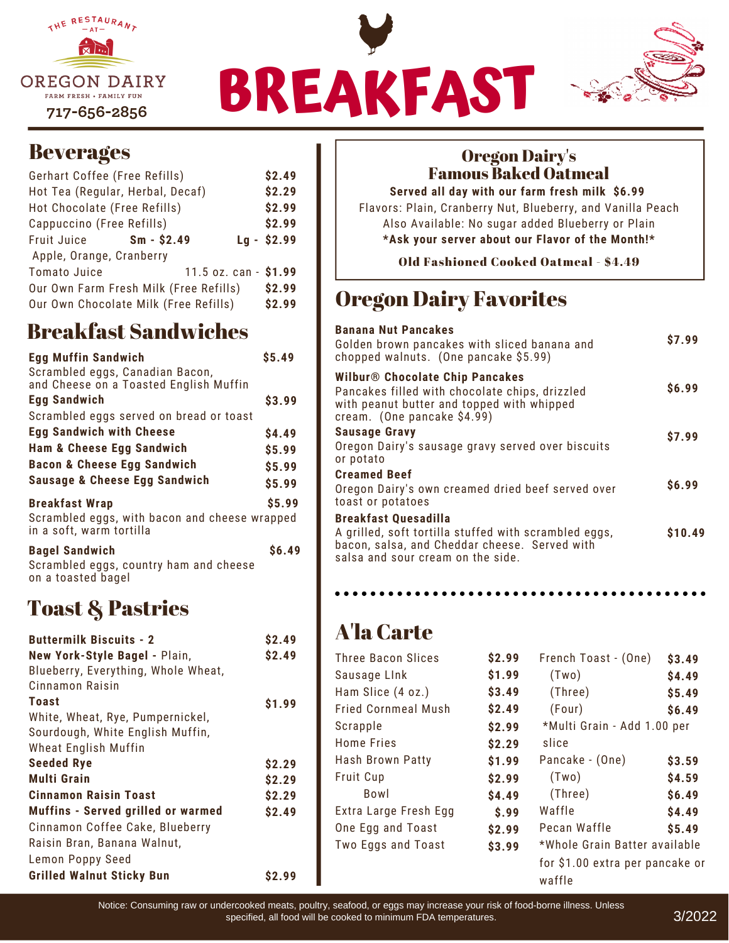





# **Beverages**

| Gerhart Coffee (Free Refills)          | \$2.49       |                       |
|----------------------------------------|--------------|-----------------------|
| Hot Tea (Regular, Herbal, Decaf)       |              | \$2.29                |
| Hot Chocolate (Free Refills)           |              | \$2.99                |
| Cappuccino (Free Refills)              |              | \$2.99                |
| Fruit Juice                            | $Sm - $2.49$ | $Lq - $2.99$          |
| Apple, Orange, Cranberry               |              |                       |
| <b>Tomato Juice</b>                    |              | 11.5 oz. can - \$1.99 |
| Our Own Farm Fresh Milk (Free Refills) |              | \$2.99                |
| Our Own Chocolate Milk (Free Refills)  |              | \$2.99                |

# Breakfast Sandwiches

| <b>Egg Muffin Sandwich</b><br>Scrambled eggs, Canadian Bacon,<br>and Cheese on a Toasted English Muffin | \$5.49       |
|---------------------------------------------------------------------------------------------------------|--------------|
| <b>Egg Sandwich</b>                                                                                     | \$3.99       |
| Scrambled eggs served on bread or toast                                                                 |              |
| <b>Egg Sandwich with Cheese</b>                                                                         | \$4.49       |
| <b>Ham &amp; Cheese Egg Sandwich</b>                                                                    | \$5.99       |
| <b>Bacon &amp; Cheese Egg Sandwich</b>                                                                  | \$5.99       |
| <b>Sausage &amp; Cheese Egg Sandwich</b>                                                                | \$5.99       |
| <b>Breakfast Wrap</b><br>Scrambled eggs, with bacon and cheese wrapped<br>in a soft, warm tortilla      | \$5.99       |
| <b>Bagel Sandwich</b><br>Scrambled eggs, country ham and cheese                                         | <b>S6.49</b> |

# Toast & Pastries

on a toasted bagel

| <b>Buttermilk Biscuits - 2</b>            | \$2.49 |
|-------------------------------------------|--------|
| New York-Style Bagel - Plain,             | \$2.49 |
| Blueberry, Everything, Whole Wheat,       |        |
| Cinnamon Raisin                           |        |
| Toast                                     | \$1.99 |
| White, Wheat, Rye, Pumpernickel,          |        |
| Sourdough, White English Muffin,          |        |
| Wheat English Muffin                      |        |
| <b>Seeded Rye</b>                         | \$2.29 |
| <b>Multi Grain</b>                        | \$2.29 |
| <b>Cinnamon Raisin Toast</b>              | \$2.29 |
| <b>Muffins - Served grilled or warmed</b> | \$2.49 |
| Cinnamon Coffee Cake, Blueberry           |        |
| Raisin Bran, Banana Walnut,               |        |
| Lemon Poppy Seed                          |        |
| <b>Grilled Walnut Sticky Bun</b>          | S2.99  |

# Oregon Dairy's Famous Baked Oatmeal

**Served all day with our farm fresh milk \$6.99** Flavors: Plain, Cranberry Nut, Blueberry, and Vanilla Peach Also Available: No sugar added Blueberry or Plain **\*Ask your server about our Flavor of the Month!\***

Old Fashioned Cooked Oatmeal - \$4.49

# Oregon Dairy Favorites

| <b>Banana Nut Pancakes</b><br>Golden brown pancakes with sliced banana and<br>chopped walnuts. (One pancake \$5.99)                                                              | \$7.99            |
|----------------------------------------------------------------------------------------------------------------------------------------------------------------------------------|-------------------|
| <b>Wilbur<sup>®</sup></b> Chocolate Chip Pancakes<br>Pancakes filled with chocolate chips, drizzled<br>with peanut butter and topped with whipped<br>cream. (One pancake \$4.99) | S <sub>6.99</sub> |
| <b>Sausage Gravy</b><br>Oregon Dairy's sausage gravy served over biscuits<br>or potato                                                                                           | \$7.99            |
| <b>Creamed Beef</b><br>Oregon Dairy's own creamed dried beef served over<br>toast or potatoes                                                                                    | \$6.99            |
| <b>Breakfast Quesadilla</b><br>A grilled, soft tortilla stuffed with scrambled eggs,<br>bacon, salsa, and Cheddar cheese. Served with<br>salsa and sour cream on the side.       | \$10.49           |

# A'la Carte

| <b>Three Bacon Slices</b>  | \$2.99 | French Toast - (One)            | \$3.49 |
|----------------------------|--------|---------------------------------|--------|
| Sausage Link               | \$1.99 | (Two)                           | \$4.49 |
| Ham Slice (4 oz.)          | \$3.49 | (Three)                         | \$5.49 |
| <b>Fried Cornmeal Mush</b> | \$2.49 | (Four)                          | \$6.49 |
| Scrapple                   | \$2.99 | *Multi Grain - Add 1.00 per     |        |
| <b>Home Fries</b>          | \$2.29 | slice                           |        |
| Hash Brown Patty           | \$1.99 | Pancake - (One)                 | \$3.59 |
| <b>Fruit Cup</b>           | \$2.99 | (Two)                           | \$4.59 |
| Bowl                       | \$4.49 | (Three)                         | \$6.49 |
| Extra Large Fresh Egg      | \$.99  | Waffle                          | \$4.49 |
| One Egg and Toast          | \$2.99 | Pecan Waffle                    | \$5.49 |
| Two Eggs and Toast         | \$3.99 | *Whole Grain Batter available   |        |
|                            |        | for \$1.00 extra per pancake or |        |
|                            |        | waffle                          |        |